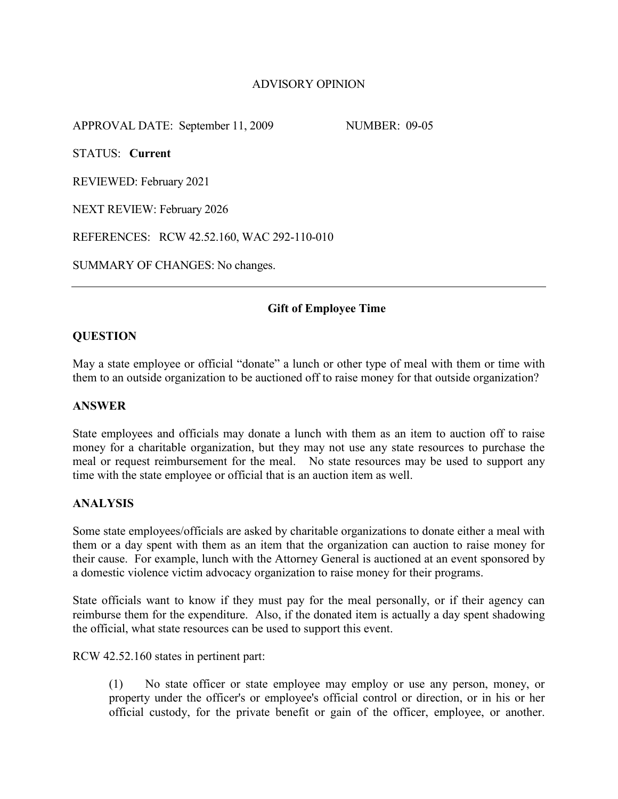# ADVISORY OPINION

APPROVAL DATE: September 11, 2009 NUMBER: 09-05

STATUS: **Current**

REVIEWED: February 2021

NEXT REVIEW: February 2026

REFERENCES: RCW 42.52.160, WAC 292-110-010

SUMMARY OF CHANGES: No changes.

## **Gift of Employee Time**

## **QUESTION**

May a state employee or official "donate" a lunch or other type of meal with them or time with them to an outside organization to be auctioned off to raise money for that outside organization?

#### **ANSWER**

State employees and officials may donate a lunch with them as an item to auction off to raise money for a charitable organization, but they may not use any state resources to purchase the meal or request reimbursement for the meal. No state resources may be used to support any time with the state employee or official that is an auction item as well.

#### **ANALYSIS**

Some state employees/officials are asked by charitable organizations to donate either a meal with them or a day spent with them as an item that the organization can auction to raise money for their cause. For example, lunch with the Attorney General is auctioned at an event sponsored by a domestic violence victim advocacy organization to raise money for their programs.

State officials want to know if they must pay for the meal personally, or if their agency can reimburse them for the expenditure. Also, if the donated item is actually a day spent shadowing the official, what state resources can be used to support this event.

RCW 42.52.160 states in pertinent part:

(1) No state officer or state employee may employ or use any person, money, or property under the officer's or employee's official control or direction, or in his or her official custody, for the private benefit or gain of the officer, employee, or another.